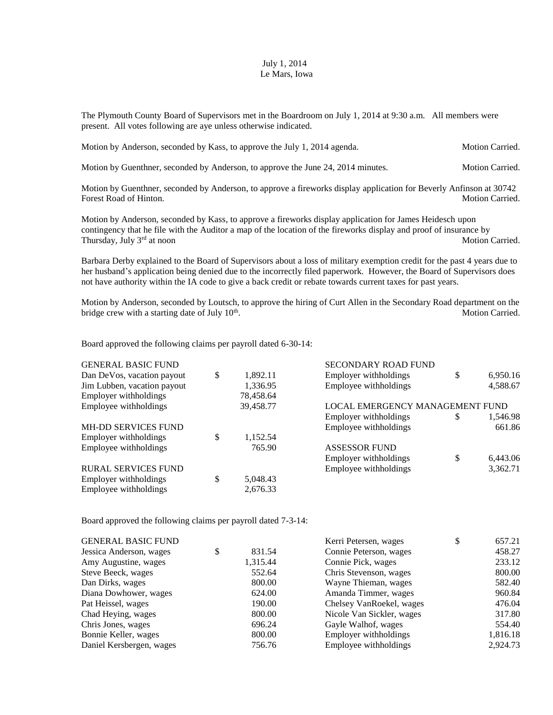## July 1, 2014 Le Mars, Iowa

The Plymouth County Board of Supervisors met in the Boardroom on July 1, 2014 at 9:30 a.m. All members were present. All votes following are aye unless otherwise indicated.

| Motion by Anderson, seconded by Kass, to approve the July 1, 2014 agenda. | <b>Motion Carried.</b> |
|---------------------------------------------------------------------------|------------------------|
|                                                                           |                        |

Motion by Guenthner, seconded by Anderson, to approve the June 24, 2014 minutes. Motion Carried.

Motion by Guenthner, seconded by Anderson, to approve a fireworks display application for Beverly Anfinson at 30742 Forest Road of Hinton. Motion Carried.

Motion by Anderson, seconded by Kass, to approve a fireworks display application for James Heidesch upon contingency that he file with the Auditor a map of the location of the fireworks display and proof of insurance by Thursday, July 3<sup>rd</sup> at noon Motion Carried.

Barbara Derby explained to the Board of Supervisors about a loss of military exemption credit for the past 4 years due to her husband's application being denied due to the incorrectly filed paperwork. However, the Board of Supervisors does not have authority within the IA code to give a back credit or rebate towards current taxes for past years.

Motion by Anderson, seconded by Loutsch, to approve the hiring of Curt Allen in the Secondary Road department on the bridge crew with a starting date of July  $10<sup>th</sup>$ . Motion Carried.

Board approved the following claims per payroll dated 6-30-14:

| <b>GENERAL BASIC FUND</b>   |                | <b>SECONDARY ROAD FUND</b>      |    |          |
|-----------------------------|----------------|---------------------------------|----|----------|
| Dan DeVos, vacation payout  | \$<br>1,892.11 | Employer withholdings           | \$ | 6,950.16 |
| Jim Lubben, vacation payout | 1,336.95       | Employee withholdings           |    | 4,588.67 |
| Employer withholdings       | 78,458.64      |                                 |    |          |
| Employee withholdings       | 39,458.77      | LOCAL EMERGENCY MANAGEMENT FUND |    |          |
|                             |                | Employer withholdings           | S  | 1,546.98 |
| MH-DD SERVICES FUND         |                | Employee withholdings           |    | 661.86   |
| Employer withholdings       | \$<br>1,152.54 |                                 |    |          |
| Employee withholdings       | 765.90         | <b>ASSESSOR FUND</b>            |    |          |
|                             |                | Employer withholdings           | \$ | 6,443.06 |
| <b>RURAL SERVICES FUND</b>  |                | Employee withholdings           |    | 3,362.71 |
| Employer withholdings       | \$<br>5,048.43 |                                 |    |          |
| Employee withholdings       | 2,676.33       |                                 |    |          |

Board approved the following claims per payroll dated 7-3-14:

|          | Kerri Petersen, wages     | \$<br>657.21 |
|----------|---------------------------|--------------|
| 831.54   | Connie Peterson, wages    | 458.27       |
| 1,315.44 | Connie Pick, wages        | 233.12       |
| 552.64   | Chris Stevenson, wages    | 800.00       |
| 800.00   | Wayne Thieman, wages      | 582.40       |
| 624.00   | Amanda Timmer, wages      | 960.84       |
| 190.00   | Chelsey VanRoekel, wages  | 476.04       |
| 800.00   | Nicole Van Sickler, wages | 317.80       |
| 696.24   | Gayle Walhof, wages       | 554.40       |
| 800.00   | Employer withholdings     | 1,816.18     |
| 756.76   | Employee withholdings     | 2,924.73     |
|          |                           |              |